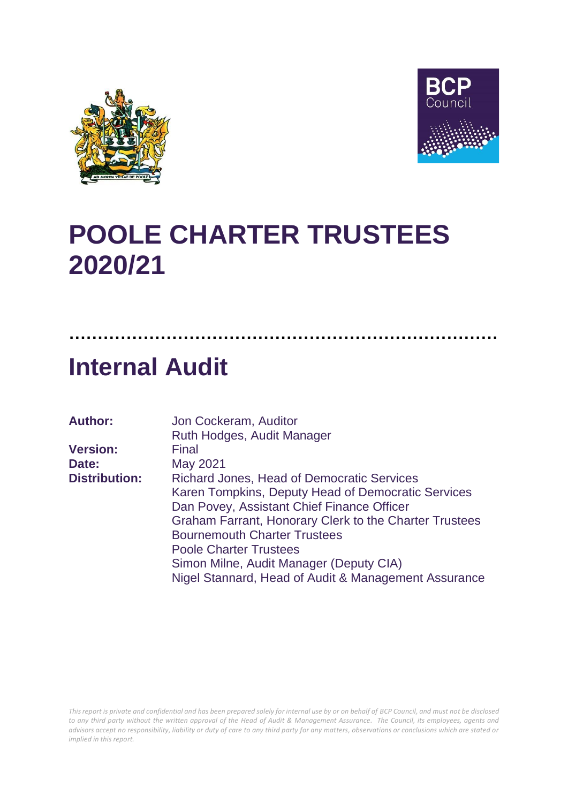



## **POOLE CHARTER TRUSTEES 2020/21**

## **Internal Audit**

| <b>Author:</b>       | Jon Cockeram, Auditor                                  |
|----------------------|--------------------------------------------------------|
|                      | Ruth Hodges, Audit Manager                             |
| <b>Version:</b>      | Final                                                  |
| Date:                | May 2021                                               |
| <b>Distribution:</b> | <b>Richard Jones, Head of Democratic Services</b>      |
|                      | Karen Tompkins, Deputy Head of Democratic Services     |
|                      | Dan Povey, Assistant Chief Finance Officer             |
|                      | Graham Farrant, Honorary Clerk to the Charter Trustees |
|                      | <b>Bournemouth Charter Trustees</b>                    |
|                      | <b>Poole Charter Trustees</b>                          |
|                      | Simon Milne, Audit Manager (Deputy CIA)                |
|                      | Nigel Stannard, Head of Audit & Management Assurance   |

**…………………………………………………………………**

*This report is private and confidential and has been prepared solely for internal use by or on behalf of BCP Council, and must not be disclosed to any third party without the written approval of the Head of Audit & Management Assurance. The Council, its employees, agents and advisors accept no responsibility, liability or duty of care to any third party for any matters, observations or conclusions which are stated or implied in this report.*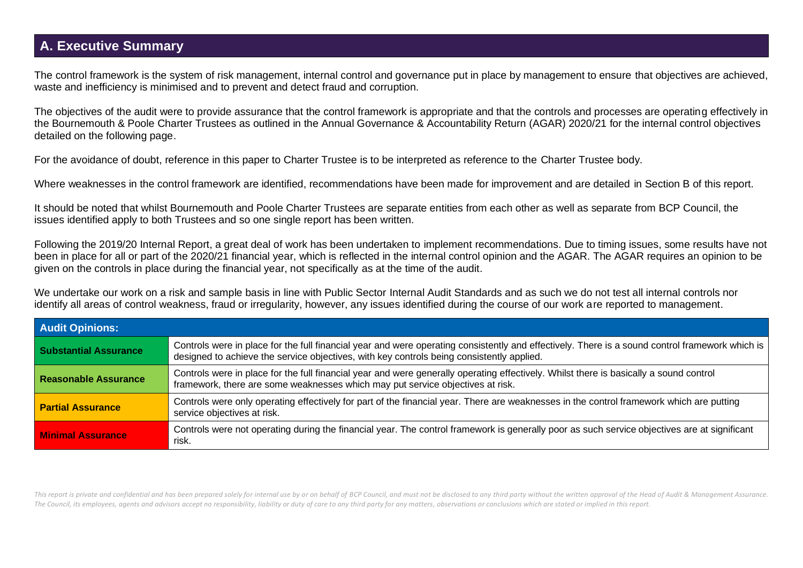## **A. Executive Summary**

The control framework is the system of risk management, internal control and governance put in place by management to ensure that objectives are achieved, waste and inefficiency is minimised and to prevent and detect fraud and corruption.

The objectives of the audit were to provide assurance that the control framework is appropriate and that the controls and processes are operating effectively in the Bournemouth & Poole Charter Trustees as outlined in the Annual Governance & Accountability Return (AGAR) 2020/21 for the internal control objectives detailed on the following page.

For the avoidance of doubt, reference in this paper to Charter Trustee is to be interpreted as reference to the Charter Trustee body.

Where weaknesses in the control framework are identified, recommendations have been made for improvement and are detailed in Section B of this report.

It should be noted that whilst Bournemouth and Poole Charter Trustees are separate entities from each other as well as separate from BCP Council, the issues identified apply to both Trustees and so one single report has been written.

Following the 2019/20 Internal Report, a great deal of work has been undertaken to implement recommendations. Due to timing issues, some results have not been in place for all or part of the 2020/21 financial year, which is reflected in the internal control opinion and the AGAR. The AGAR requires an opinion to be given on the controls in place during the financial year, not specifically as at the time of the audit.

We undertake our work on a risk and sample basis in line with Public Sector Internal Audit Standards and as such we do not test all internal controls nor identify all areas of control weakness, fraud or irregularity, however, any issues identified during the course of our work are reported to management.

| <b>Audit Opinions:</b>       |                                                                                                                                                                                                                                              |  |  |  |  |
|------------------------------|----------------------------------------------------------------------------------------------------------------------------------------------------------------------------------------------------------------------------------------------|--|--|--|--|
| <b>Substantial Assurance</b> | Controls were in place for the full financial year and were operating consistently and effectively. There is a sound control framework which is<br>designed to achieve the service objectives, with key controls being consistently applied. |  |  |  |  |
| Reasonable Assurance         | Controls were in place for the full financial year and were generally operating effectively. Whilst there is basically a sound control<br>framework, there are some weaknesses which may put service objectives at risk.                     |  |  |  |  |
| <b>Partial Assurance</b>     | Controls were only operating effectively for part of the financial year. There are weaknesses in the control framework which are putting<br>service objectives at risk.                                                                      |  |  |  |  |
| <b>Minimal Assurance</b>     | Controls were not operating during the financial year. The control framework is generally poor as such service objectives are at significant<br>risk.                                                                                        |  |  |  |  |

This report is private and confidential and has been prepared solely for internal use by or on behalf of BCP Council, and must not be disclosed to any third party without the written approval of the Head of Audit & Managem *The Council, its employees, agents and advisors accept no responsibility, liability or duty of care to any third party for any matters, observations or conclusions which are stated or implied in this report.*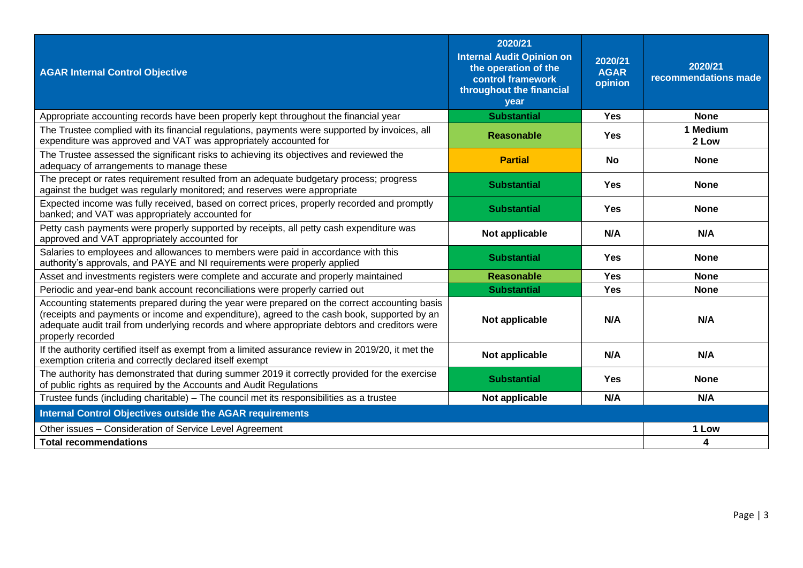| <b>AGAR Internal Control Objective</b>                                                                                                                                                                                                                                                                            | 2020/21<br><b>Internal Audit Opinion on</b><br>the operation of the<br>control framework<br>throughout the financial<br>vear | 2020/21<br><b>AGAR</b><br>opinion | 2020/21<br>recommendations made |
|-------------------------------------------------------------------------------------------------------------------------------------------------------------------------------------------------------------------------------------------------------------------------------------------------------------------|------------------------------------------------------------------------------------------------------------------------------|-----------------------------------|---------------------------------|
| Appropriate accounting records have been properly kept throughout the financial year                                                                                                                                                                                                                              | <b>Substantial</b>                                                                                                           | Yes                               | <b>None</b>                     |
| The Trustee complied with its financial regulations, payments were supported by invoices, all<br>expenditure was approved and VAT was appropriately accounted for                                                                                                                                                 | <b>Reasonable</b>                                                                                                            | <b>Yes</b>                        | 1 Medium<br>2 Low               |
| The Trustee assessed the significant risks to achieving its objectives and reviewed the<br>adequacy of arrangements to manage these                                                                                                                                                                               | <b>Partial</b>                                                                                                               | <b>No</b>                         | <b>None</b>                     |
| The precept or rates requirement resulted from an adequate budgetary process; progress<br>against the budget was regularly monitored; and reserves were appropriate                                                                                                                                               | <b>Substantial</b>                                                                                                           | <b>Yes</b>                        | <b>None</b>                     |
| Expected income was fully received, based on correct prices, properly recorded and promptly<br>banked; and VAT was appropriately accounted for                                                                                                                                                                    | <b>Substantial</b>                                                                                                           | <b>Yes</b>                        | <b>None</b>                     |
| Petty cash payments were properly supported by receipts, all petty cash expenditure was<br>approved and VAT appropriately accounted for                                                                                                                                                                           | Not applicable                                                                                                               | N/A                               | N/A                             |
| Salaries to employees and allowances to members were paid in accordance with this<br>authority's approvals, and PAYE and NI requirements were properly applied                                                                                                                                                    | <b>Substantial</b>                                                                                                           | <b>Yes</b>                        | <b>None</b>                     |
| Asset and investments registers were complete and accurate and properly maintained                                                                                                                                                                                                                                | Reasonable                                                                                                                   | <b>Yes</b>                        | <b>None</b>                     |
| Periodic and year-end bank account reconciliations were properly carried out                                                                                                                                                                                                                                      | <b>Substantial</b>                                                                                                           | <b>Yes</b>                        | <b>None</b>                     |
| Accounting statements prepared during the year were prepared on the correct accounting basis<br>(receipts and payments or income and expenditure), agreed to the cash book, supported by an<br>adequate audit trail from underlying records and where appropriate debtors and creditors were<br>properly recorded | Not applicable                                                                                                               | N/A                               | N/A                             |
| If the authority certified itself as exempt from a limited assurance review in 2019/20, it met the<br>exemption criteria and correctly declared itself exempt                                                                                                                                                     | Not applicable                                                                                                               | N/A                               | N/A                             |
| The authority has demonstrated that during summer 2019 it correctly provided for the exercise<br>of public rights as required by the Accounts and Audit Regulations                                                                                                                                               | <b>Substantial</b>                                                                                                           | <b>Yes</b>                        | <b>None</b>                     |
| Trustee funds (including charitable) - The council met its responsibilities as a trustee                                                                                                                                                                                                                          | Not applicable                                                                                                               | N/A                               | N/A                             |
| <b>Internal Control Objectives outside the AGAR requirements</b>                                                                                                                                                                                                                                                  |                                                                                                                              |                                   |                                 |
| Other issues - Consideration of Service Level Agreement                                                                                                                                                                                                                                                           |                                                                                                                              |                                   | 1 Low                           |
| <b>Total recommendations</b>                                                                                                                                                                                                                                                                                      |                                                                                                                              |                                   | 4                               |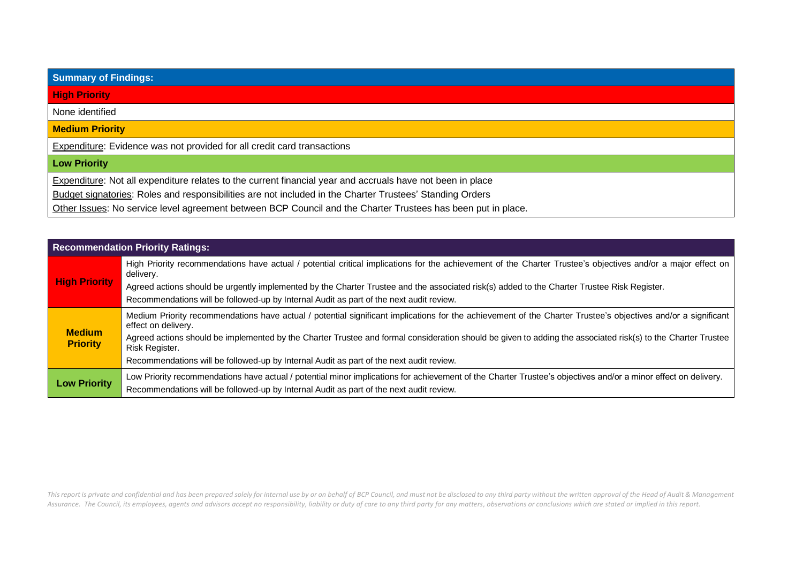| <b>Summary of Findings:</b>                                                                                  |
|--------------------------------------------------------------------------------------------------------------|
| <b>High Priority</b>                                                                                         |
| None identified                                                                                              |
| <b>Medium Priority</b>                                                                                       |
| <b>Expenditure:</b> Evidence was not provided for all credit card transactions                               |
| <b>Low Priority</b>                                                                                          |
| Expenditure: Not all expenditure relates to the current financial year and accruals have not been in place   |
| Budget signatories: Roles and responsibilities are not included in the Charter Trustees' Standing Orders     |
| Other Issues: No service level agreement between BCP Council and the Charter Trustees has been put in place. |

| <b>Recommendation Priority Ratings:</b> |                                                                                                                                                                                      |  |  |  |  |
|-----------------------------------------|--------------------------------------------------------------------------------------------------------------------------------------------------------------------------------------|--|--|--|--|
| <b>High Priority</b>                    | High Priority recommendations have actual / potential critical implications for the achievement of the Charter Trustee's objectives and/or a major effect on<br>delivery.            |  |  |  |  |
|                                         | Agreed actions should be urgently implemented by the Charter Trustee and the associated risk(s) added to the Charter Trustee Risk Register.                                          |  |  |  |  |
|                                         | Recommendations will be followed-up by Internal Audit as part of the next audit review.                                                                                              |  |  |  |  |
|                                         | Medium Priority recommendations have actual / potential significant implications for the achievement of the Charter Trustee's objectives and/or a significant<br>effect on delivery. |  |  |  |  |
| <b>Medium</b><br><b>Priority</b>        | Agreed actions should be implemented by the Charter Trustee and formal consideration should be given to adding the associated risk(s) to the Charter Trustee<br>Risk Register.       |  |  |  |  |
|                                         | Recommendations will be followed-up by Internal Audit as part of the next audit review.                                                                                              |  |  |  |  |
| <b>Low Priority</b>                     | Low Priority recommendations have actual / potential minor implications for achievement of the Charter Trustee's objectives and/or a minor effect on delivery.                       |  |  |  |  |
|                                         | Recommendations will be followed-up by Internal Audit as part of the next audit review.                                                                                              |  |  |  |  |

This report is private and confidential and has been prepared solely for internal use by or on behalf of BCP Council, and must not be disclosed to any third party without the written approval of the Head of Audit & Managem Assurance. The Council, its employees, agents and advisors accept no responsibility, liability or duty of care to any third party for any matters, observations or conclusions which are stated or implied in this report.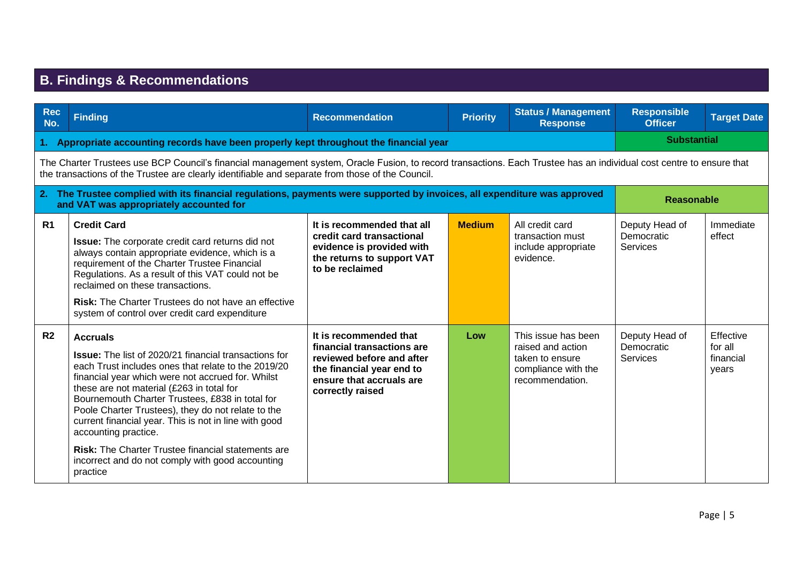## **B. Findings & Recommendations**

| <b>Rec</b><br>No.                                                                       | <b>Finding</b>                                                                                                                                                                                                                                                                                                                                                                                                                                                                                                                                                  | <b>Recommendation</b>                                                                                                                                          | <b>Priority</b> | <b>Status / Management</b><br><b>Response</b>                                                         | <b>Responsible</b><br><b>Officer</b>            | <b>Target Date</b>                         |  |
|-----------------------------------------------------------------------------------------|-----------------------------------------------------------------------------------------------------------------------------------------------------------------------------------------------------------------------------------------------------------------------------------------------------------------------------------------------------------------------------------------------------------------------------------------------------------------------------------------------------------------------------------------------------------------|----------------------------------------------------------------------------------------------------------------------------------------------------------------|-----------------|-------------------------------------------------------------------------------------------------------|-------------------------------------------------|--------------------------------------------|--|
| 1. Appropriate accounting records have been properly kept throughout the financial year |                                                                                                                                                                                                                                                                                                                                                                                                                                                                                                                                                                 |                                                                                                                                                                |                 |                                                                                                       | <b>Substantial</b>                              |                                            |  |
|                                                                                         | The Charter Trustees use BCP Council's financial management system, Oracle Fusion, to record transactions. Each Trustee has an individual cost centre to ensure that<br>the transactions of the Trustee are clearly identifiable and separate from those of the Council.                                                                                                                                                                                                                                                                                        |                                                                                                                                                                |                 |                                                                                                       |                                                 |                                            |  |
|                                                                                         | 2. The Trustee complied with its financial regulations, payments were supported by invoices, all expenditure was approved<br>and VAT was appropriately accounted for                                                                                                                                                                                                                                                                                                                                                                                            |                                                                                                                                                                |                 |                                                                                                       | <b>Reasonable</b>                               |                                            |  |
| R <sub>1</sub>                                                                          | <b>Credit Card</b><br>Issue: The corporate credit card returns did not<br>always contain appropriate evidence, which is a<br>requirement of the Charter Trustee Financial<br>Regulations. As a result of this VAT could not be<br>reclaimed on these transactions.<br><b>Risk:</b> The Charter Trustees do not have an effective<br>system of control over credit card expenditure                                                                                                                                                                              | It is recommended that all<br>credit card transactional<br>evidence is provided with<br>the returns to support VAT<br>to be reclaimed                          | <b>Medium</b>   | All credit card<br>transaction must<br>include appropriate<br>evidence.                               | Deputy Head of<br>Democratic<br><b>Services</b> | Immediate<br>effect                        |  |
| R <sub>2</sub>                                                                          | <b>Accruals</b><br><b>Issue:</b> The list of 2020/21 financial transactions for<br>each Trust includes ones that relate to the 2019/20<br>financial year which were not accrued for. Whilst<br>these are not material (£263 in total for<br>Bournemouth Charter Trustees, £838 in total for<br>Poole Charter Trustees), they do not relate to the<br>current financial year. This is not in line with good<br>accounting practice.<br><b>Risk: The Charter Trustee financial statements are</b><br>incorrect and do not comply with good accounting<br>practice | It is recommended that<br>financial transactions are<br>reviewed before and after<br>the financial year end to<br>ensure that accruals are<br>correctly raised | Low             | This issue has been<br>raised and action<br>taken to ensure<br>compliance with the<br>recommendation. | Deputy Head of<br>Democratic<br>Services        | Effective<br>for all<br>financial<br>vears |  |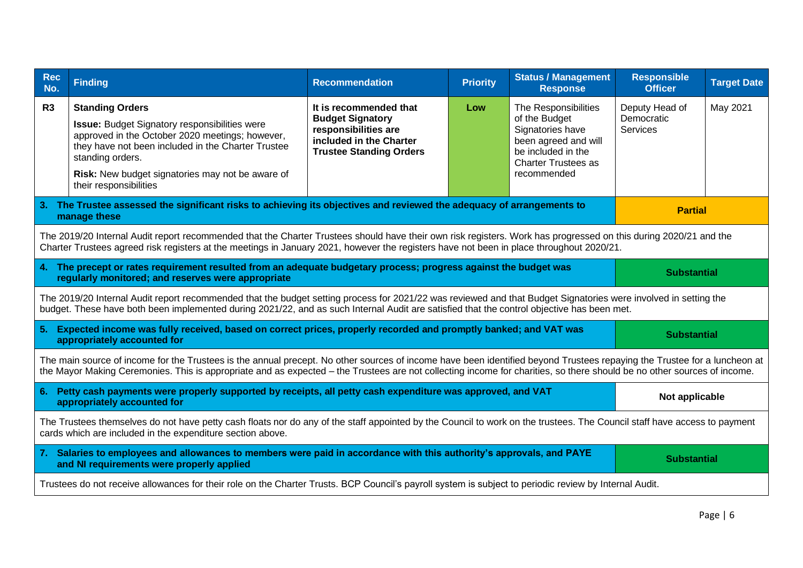| <b>Rec</b><br>No.                                                                                                                                                                                                                                                                                                                                   | <b>Finding</b>                                                                                                                                                                                                                                                                                               | <b>Recommendation</b>                                                                                                                  | <b>Priority</b> | <b>Status / Management</b><br><b>Response</b>                                                                                                        | <b>Responsible</b><br><b>Officer</b>            | <b>Target Date</b> |
|-----------------------------------------------------------------------------------------------------------------------------------------------------------------------------------------------------------------------------------------------------------------------------------------------------------------------------------------------------|--------------------------------------------------------------------------------------------------------------------------------------------------------------------------------------------------------------------------------------------------------------------------------------------------------------|----------------------------------------------------------------------------------------------------------------------------------------|-----------------|------------------------------------------------------------------------------------------------------------------------------------------------------|-------------------------------------------------|--------------------|
| R3                                                                                                                                                                                                                                                                                                                                                  | <b>Standing Orders</b><br><b>Issue:</b> Budget Signatory responsibilities were<br>approved in the October 2020 meetings; however,<br>they have not been included in the Charter Trustee<br>standing orders.<br>Risk: New budget signatories may not be aware of<br>their responsibilities                    | It is recommended that<br><b>Budget Signatory</b><br>responsibilities are<br>included in the Charter<br><b>Trustee Standing Orders</b> | Low             | The Responsibilities<br>of the Budget<br>Signatories have<br>been agreed and will<br>be included in the<br><b>Charter Trustees as</b><br>recommended | Deputy Head of<br>Democratic<br><b>Services</b> | May 2021           |
|                                                                                                                                                                                                                                                                                                                                                     | 3. The Trustee assessed the significant risks to achieving its objectives and reviewed the adequacy of arrangements to<br>manage these                                                                                                                                                                       |                                                                                                                                        |                 |                                                                                                                                                      | <b>Partial</b>                                  |                    |
|                                                                                                                                                                                                                                                                                                                                                     | The 2019/20 Internal Audit report recommended that the Charter Trustees should have their own risk registers. Work has progressed on this during 2020/21 and the<br>Charter Trustees agreed risk registers at the meetings in January 2021, however the registers have not been in place throughout 2020/21. |                                                                                                                                        |                 |                                                                                                                                                      |                                                 |                    |
|                                                                                                                                                                                                                                                                                                                                                     | 4. The precept or rates requirement resulted from an adequate budgetary process; progress against the budget was<br><b>Substantial</b><br>regularly monitored; and reserves were appropriate                                                                                                                 |                                                                                                                                        |                 |                                                                                                                                                      |                                                 |                    |
| The 2019/20 Internal Audit report recommended that the budget setting process for 2021/22 was reviewed and that Budget Signatories were involved in setting the<br>budget. These have both been implemented during 2021/22, and as such Internal Audit are satisfied that the control objective has been met.                                       |                                                                                                                                                                                                                                                                                                              |                                                                                                                                        |                 |                                                                                                                                                      |                                                 |                    |
|                                                                                                                                                                                                                                                                                                                                                     | 5. Expected income was fully received, based on correct prices, properly recorded and promptly banked; and VAT was<br>appropriately accounted for                                                                                                                                                            |                                                                                                                                        |                 |                                                                                                                                                      | <b>Substantial</b>                              |                    |
| The main source of income for the Trustees is the annual precept. No other sources of income have been identified beyond Trustees repaying the Trustee for a luncheon at<br>the Mayor Making Ceremonies. This is appropriate and as expected – the Trustees are not collecting income for charities, so there should be no other sources of income. |                                                                                                                                                                                                                                                                                                              |                                                                                                                                        |                 |                                                                                                                                                      |                                                 |                    |
|                                                                                                                                                                                                                                                                                                                                                     | 6. Petty cash payments were properly supported by receipts, all petty cash expenditure was approved, and VAT<br>Not applicable<br>appropriately accounted for                                                                                                                                                |                                                                                                                                        |                 |                                                                                                                                                      |                                                 |                    |
| The Trustees themselves do not have petty cash floats nor do any of the staff appointed by the Council to work on the trustees. The Council staff have access to payment<br>cards which are included in the expenditure section above.                                                                                                              |                                                                                                                                                                                                                                                                                                              |                                                                                                                                        |                 |                                                                                                                                                      |                                                 |                    |
| 7. Salaries to employees and allowances to members were paid in accordance with this authority's approvals, and PAYE<br>and NI requirements were properly applied                                                                                                                                                                                   |                                                                                                                                                                                                                                                                                                              |                                                                                                                                        |                 | <b>Substantial</b>                                                                                                                                   |                                                 |                    |
|                                                                                                                                                                                                                                                                                                                                                     | Trustees do not receive allowances for their role on the Charter Trusts. BCP Council's payroll system is subject to periodic review by Internal Audit.                                                                                                                                                       |                                                                                                                                        |                 |                                                                                                                                                      |                                                 |                    |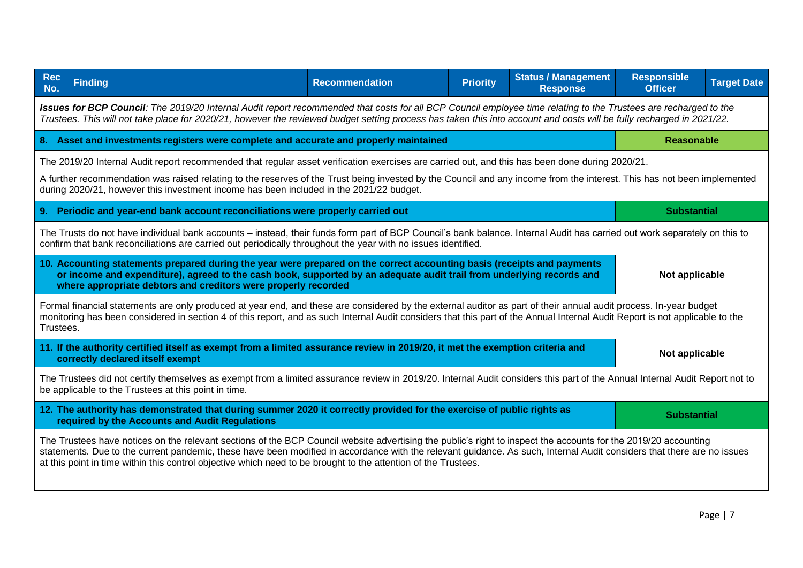| <b>Rec</b><br><b>Finding</b><br>No.                                                                                                                                                                                                                                                                                                                                                                                                                         | <b>Recommendation</b> | <b>Priority</b> | <b>Status / Management</b><br><b>Response</b> | <b>Responsible</b><br><b>Officer</b> | <b>Target Date</b> |  |
|-------------------------------------------------------------------------------------------------------------------------------------------------------------------------------------------------------------------------------------------------------------------------------------------------------------------------------------------------------------------------------------------------------------------------------------------------------------|-----------------------|-----------------|-----------------------------------------------|--------------------------------------|--------------------|--|
| Issues for BCP Council: The 2019/20 Internal Audit report recommended that costs for all BCP Council employee time relating to the Trustees are recharged to the<br>Trustees. This will not take place for 2020/21, however the reviewed budget setting process has taken this into account and costs will be fully recharged in 2021/22.                                                                                                                   |                       |                 |                                               |                                      |                    |  |
| 8. Asset and investments registers were complete and accurate and properly maintained                                                                                                                                                                                                                                                                                                                                                                       |                       |                 |                                               | <b>Reasonable</b>                    |                    |  |
| The 2019/20 Internal Audit report recommended that regular asset verification exercises are carried out, and this has been done during 2020/21.<br>A further recommendation was raised relating to the reserves of the Trust being invested by the Council and any income from the interest. This has not been implemented<br>during 2020/21, however this investment income has been included in the 2021/22 budget.                                       |                       |                 |                                               |                                      |                    |  |
| 9. Periodic and year-end bank account reconciliations were properly carried out                                                                                                                                                                                                                                                                                                                                                                             |                       |                 |                                               | <b>Substantial</b>                   |                    |  |
| The Trusts do not have individual bank accounts – instead, their funds form part of BCP Council's bank balance. Internal Audit has carried out work separately on this to<br>confirm that bank reconciliations are carried out periodically throughout the year with no issues identified.                                                                                                                                                                  |                       |                 |                                               |                                      |                    |  |
| 10. Accounting statements prepared during the year were prepared on the correct accounting basis (receipts and payments<br>or income and expenditure), agreed to the cash book, supported by an adequate audit trail from underlying records and<br>Not applicable<br>where appropriate debtors and creditors were properly recorded                                                                                                                        |                       |                 |                                               |                                      |                    |  |
| Formal financial statements are only produced at year end, and these are considered by the external auditor as part of their annual audit process. In-year budget<br>monitoring has been considered in section 4 of this report, and as such Internal Audit considers that this part of the Annual Internal Audit Report is not applicable to the<br>Trustees.                                                                                              |                       |                 |                                               |                                      |                    |  |
| 11. If the authority certified itself as exempt from a limited assurance review in 2019/20, it met the exemption criteria and<br>correctly declared itself exempt                                                                                                                                                                                                                                                                                           |                       |                 |                                               | Not applicable                       |                    |  |
| The Trustees did not certify themselves as exempt from a limited assurance review in 2019/20. Internal Audit considers this part of the Annual Internal Audit Report not to<br>be applicable to the Trustees at this point in time.                                                                                                                                                                                                                         |                       |                 |                                               |                                      |                    |  |
| 12. The authority has demonstrated that during summer 2020 it correctly provided for the exercise of public rights as<br>required by the Accounts and Audit Regulations                                                                                                                                                                                                                                                                                     |                       |                 |                                               | <b>Substantial</b>                   |                    |  |
| The Trustees have notices on the relevant sections of the BCP Council website advertising the public's right to inspect the accounts for the 2019/20 accounting<br>statements. Due to the current pandemic, these have been modified in accordance with the relevant guidance. As such, Internal Audit considers that there are no issues<br>at this point in time within this control objective which need to be brought to the attention of the Trustees. |                       |                 |                                               |                                      |                    |  |